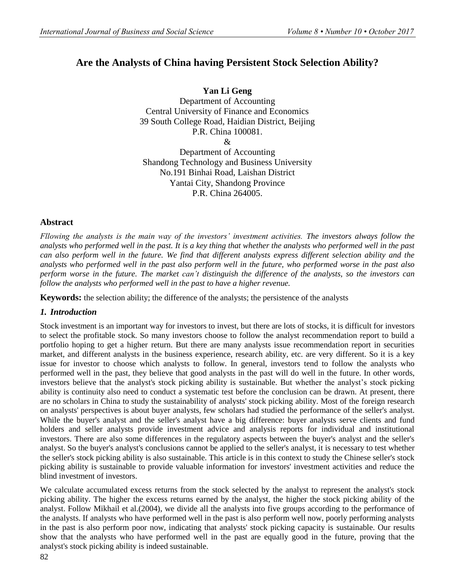# **Are the Analysts of China having Persistent Stock Selection Ability?**

**Yan Li Geng** Department of Accounting Central University of Finance and Economics 39 South College Road, Haidian District, Beijing P.R. China 100081. &

Department of Accounting Shandong Technology and Business University No.191 Binhai Road, Laishan District Yantai City, Shandong Province P.R. China 264005.

# **Abstract**

*Fllowing the analysts is the main way of the investors' investment activities. The investors always follow the analysts who performed well in the past. It is a key thing that whether the analysts who performed well in the past can also perform well in the future. We find that different analysts express different selection ability and the analysts who performed well in the past also perform well in the future, who performed worse in the past also perform worse in the future. The market can't distinguish the difference of the analysts, so the investors can follow the analysts who performed well in the past to have a higher revenue.*

**Keywords:** the selection ability; the difference of the analysts; the persistence of the analysts

## *1. Introduction*

Stock investment is an important way for investors to invest, but there are lots of stocks, it is difficult for investors to select the profitable stock. So many investors choose to follow the analyst recommendation report to build a portfolio hoping to get a higher return. But there are many analysts issue recommendation report in securities market, and different analysts in the business experience, research ability, etc. are very different. So it is a key issue for investor to choose which analysts to follow. In general, investors tend to follow the analysts who performed well in the past, they believe that good analysts in the past will do well in the future. In other words, investors believe that the analyst's stock picking ability is sustainable. But whether the analyst's stock picking ability is continuity also need to conduct a systematic test before the conclusion can be drawn. At present, there are no scholars in China to study the sustainability of analysts' stock picking ability. Most of the foreign research on analysts' perspectives is about buyer analysts, few scholars had studied the performance of the seller's analyst. While the buyer's analyst and the seller's analyst have a big difference: buyer analysts serve clients and fund holders and seller analysts provide investment advice and analysis reports for individual and institutional investors. There are also some differences in the regulatory aspects between the buyer's analyst and the seller's analyst. So the buyer's analyst's conclusions cannot be applied to the seller's analyst, it is necessary to test whether the seller's stock picking ability is also sustainable. This article is in this context to study the Chinese seller's stock picking ability is sustainable to provide valuable information for investors' investment activities and reduce the blind investment of investors.

We calculate accumulated excess returns from the stock selected by the analyst to represent the analyst's stock picking ability. The higher the excess returns earned by the analyst, the higher the stock picking ability of the analyst. Follow Mikhail et al.(2004), we divide all the analysts into five groups according to the performance of the analysts. If analysts who have performed well in the past is also perform well now, poorly performing analysts in the past is also perform poor now, indicating that analysts' stock picking capacity is sustainable. Our results show that the analysts who have performed well in the past are equally good in the future, proving that the analyst's stock picking ability is indeed sustainable.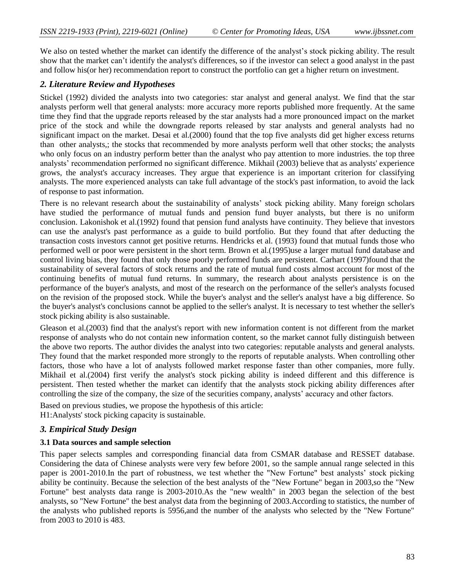We also on tested whether the market can identify the difference of the analyst's stock picking ability. The result show that the market can't identify the analyst's differences, so if the investor can select a good analyst in the past and follow his(or her) recommendation report to construct the portfolio can get a higher return on investment.

### *2. Literature Review and Hypotheses*

Stickel (1992) divided the analysts into two categories: star analyst and general analyst. We find that the star analysts perform well that general analysts: more accuracy more reports published more frequently. At the same time they find that the upgrade reports released by the star analysts had a more pronounced impact on the market price of the stock and while the downgrade reports released by star analysts and general analysts had no significant impact on the market. Desai et al.(2000) found that the top five analysts did get higher excess returns than other analysts,; the stocks that recommended by more analysts perform well that other stocks; the analysts who only focus on an industry perform better than the analyst who pay attention to more industries. the top three analysts' recommendation performed no significant difference. Mikhail (2003) believe that as analysts' experience grows, the analyst's accuracy increases. They argue that experience is an important criterion for classifying analysts. The more experienced analysts can take full advantage of the stock's past information, to avoid the lack of response to past information.

There is no relevant research about the sustainability of analysts' stock picking ability. Many foreign scholars have studied the performance of mutual funds and pension fund buyer analysts, but there is no uniform conclusion. Lakonishok et al.(1992) found that pension fund analysts have continuity. They believe that investors can use the analyst's past performance as a guide to build portfolio. But they found that after deducting the transaction costs investors cannot get positive returns. Hendricks et al. (1993) found that mutual funds those who performed well or poor were persistent in the short term. Brown et al.(1995)use a larger mutual fund database and control living bias, they found that only those poorly performed funds are persistent. Carhart (1997)found that the sustainability of several factors of stock returns and the rate of mutual fund costs almost account for most of the continuing benefits of mutual fund returns. In summary, the research about analysts persistence is on the performance of the buyer's analysts, and most of the research on the performance of the seller's analysts focused on the revision of the proposed stock. While the buyer's analyst and the seller's analyst have a big difference. So the buyer's analyst's conclusions cannot be applied to the seller's analyst. It is necessary to test whether the seller's stock picking ability is also sustainable.

Gleason et al.(2003) find that the analyst's report with new information content is not different from the market response of analysts who do not contain new information content, so the market cannot fully distinguish between the above two reports. The author divides the analyst into two categories: reputable analysts and general analysts. They found that the market responded more strongly to the reports of reputable analysts. When controlling other factors, those who have a lot of analysts followed market response faster than other companies, more fully. Mikhail et al.(2004) first verify the analyst's stock picking ability is indeed different and this difference is persistent. Then tested whether the market can identify that the analysts stock picking ability differences after controlling the size of the company, the size of the securities company, analysts' accuracy and other factors.

Based on previous studies, we propose the hypothesis of this article: H1:Analysts' stock picking capacity is sustainable.

# *3. Empirical Study Design*

#### **3.1 Data sources and sample selection**

This paper selects samples and corresponding financial data from CSMAR database and RESSET database. Considering the data of Chinese analysts were very few before 2001, so the sample annual range selected in this paper is 2001-2010.In the part of robustness, we test whether the "New Fortune" best analysts' stock picking ability be continuity. Because the selection of the best analysts of the "New Fortune" began in 2003,so the "New Fortune" best analysts data range is 2003-2010.As the "new wealth" in 2003 began the selection of the best analysts, so "New Fortune" the best analyst data from the beginning of 2003.According to statistics, the number of the analysts who published reports is 5956,and the number of the analysts who selected by the "New Fortune" from 2003 to 2010 is 483.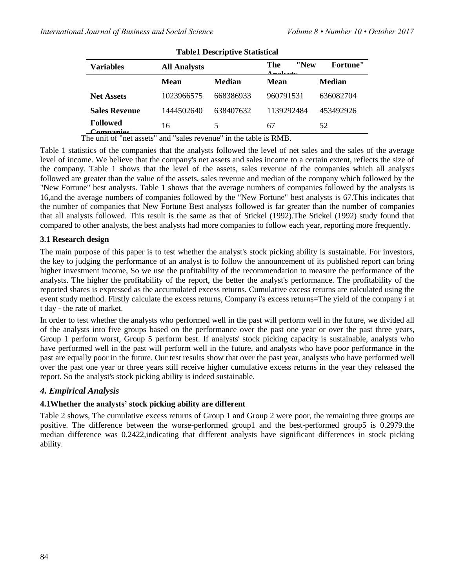| <b>Table1 Descriptive Statistical</b> |                     |                                                               |                                  |                 |  |
|---------------------------------------|---------------------|---------------------------------------------------------------|----------------------------------|-----------------|--|
| <b>Variables</b>                      | <b>All Analysts</b> |                                                               | "New<br>The<br>$\lambda$ notrata | <b>Fortune"</b> |  |
|                                       | <b>Mean</b>         | <b>Median</b>                                                 | <b>Mean</b>                      | <b>Median</b>   |  |
| <b>Net Assets</b>                     | 1023966575          | 668386933                                                     | 960791531                        | 636082704       |  |
| <b>Sales Revenue</b>                  | 1444502640          | 638407632                                                     | 1139292484                       | 453492926       |  |
| <b>Followed</b><br>Componies          | 16                  | 5                                                             | 67                               | 52              |  |
| $\cdot$ $\cdot$ $\cdot$ $\cdot$       | .<br>$\sim$ $\sim$  | $\mathbf{u}$ . $\mathbf{u}$ . $\mathbf{u}$ . The $\mathbf{v}$ |                                  |                 |  |

The unit of "net assets" and "sales revenue" in the table is RMB.

Table 1 statistics of the companies that the analysts followed the level of net sales and the sales of the average level of income. We believe that the company's net assets and sales income to a certain extent, reflects the size of the company. Table 1 shows that the level of the assets, sales revenue of the companies which all analysts followed are greater than the value of the assets, sales revenue and median of the company which followed by the "New Fortune" best analysts. Table 1 shows that the average numbers of companies followed by the analysts is 16,and the average numbers of companies followed by the "New Fortune" best analysts is 67.This indicates that the number of companies that New Fortune Best analysts followed is far greater than the number of companies that all analysts followed. This result is the same as that of Stickel (1992).The Stickel (1992) study found that compared to other analysts, the best analysts had more companies to follow each year, reporting more frequently.

### **3.1 Research design**

The main purpose of this paper is to test whether the analyst's stock picking ability is sustainable. For investors, the key to judging the performance of an analyst is to follow the announcement of its published report can bring higher investment income, So we use the profitability of the recommendation to measure the performance of the analysts. The higher the profitability of the report, the better the analyst's performance. The profitability of the reported shares is expressed as the accumulated excess returns. Cumulative excess returns are calculated using the event study method. Firstly calculate the excess returns, Company i's excess returns=The yield of the company i at t day - the rate of market.

In order to test whether the analysts who performed well in the past will perform well in the future, we divided all of the analysts into five groups based on the performance over the past one year or over the past three years, Group 1 perform worst, Group 5 perform best. If analysts' stock picking capacity is sustainable, analysts who have performed well in the past will perform well in the future, and analysts who have poor performance in the past are equally poor in the future. Our test results show that over the past year, analysts who have performed well over the past one year or three years still receive higher cumulative excess returns in the year they released the report. So the analyst's stock picking ability is indeed sustainable.

## *4. Empirical Analysis*

## **4.1Whether the analysts' stock picking ability are different**

Table 2 shows, The cumulative excess returns of Group 1 and Group 2 were poor, the remaining three groups are positive. The difference between the worse-performed group1 and the best-performed group5 is 0.2979.the median difference was 0.2422,indicating that different analysts have significant differences in stock picking ability.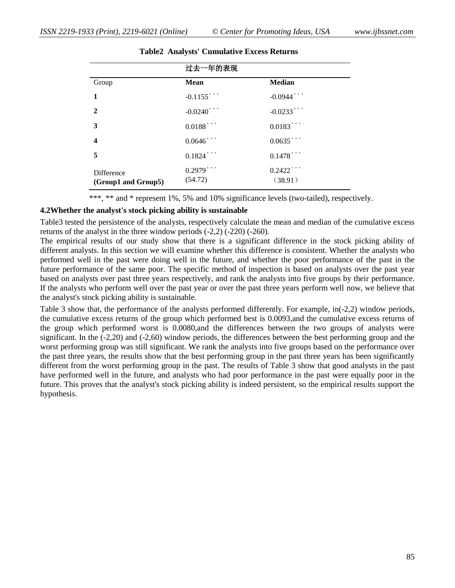|                                   | 过去一年的表现                 |                         |  |
|-----------------------------------|-------------------------|-------------------------|--|
| Group                             | <b>Mean</b>             | <b>Median</b>           |  |
| 1                                 | $-0.1155$ ***           | $-0.0944$ ***           |  |
| $\mathbf{2}$                      | $-0.0240$ ***           | $-0.0233$ ***           |  |
| 3                                 | $0.0188$ ***            | $0.0183$ ***            |  |
| $\overline{\mathbf{4}}$           | $0.0646$ ***            | $0.0635$ ***            |  |
| 5                                 | $0.1824$ ***            | $0.1478$ ***            |  |
| Difference<br>(Group1 and Group5) | $0.2979$ ***<br>(54.72) | $0.2422$ ***<br>(38.91) |  |

#### **Table2 Analysts' Cumulative Excess Returns**

\*\*\*, \*\* and \* represent 1%, 5% and 10% significance levels (two-tailed), respectively.

#### **4.2Whether the analyst's stock picking ability is sustainable**

Table3 tested the persistence of the analysts, respectively calculate the mean and median of the cumulative excess returns of the analyst in the three window periods (-2,2) (-220) (-260).

The empirical results of our study show that there is a significant difference in the stock picking ability of different analysts. In this section we will examine whether this difference is consistent. Whether the analysts who performed well in the past were doing well in the future, and whether the poor performance of the past in the future performance of the same poor. The specific method of inspection is based on analysts over the past year based on analysts over past three years respectively, and rank the analysts into five groups by their performance. If the analysts who perform well over the past year or over the past three years perform well now, we believe that the analyst's stock picking ability is sustainable.

Table 3 show that, the performance of the analysts performed differently. For example, in(-2,2) window periods, the cumulative excess returns of the group which performed best is 0.0093,and the cumulative excess returns of the group which performed worst is 0.0080,and the differences between the two groups of analysts were significant. In the (-2,20) and (-2,60) window periods, the differences between the best performing group and the worst performing group was still significant. We rank the analysts into five groups based on the performance over the past three years, the results show that the best performing group in the past three years has been significantly different from the worst performing group in the past. The results of Table 3 show that good analysts in the past have performed well in the future, and analysts who had poor performance in the past were equally poor in the future. This proves that the analyst's stock picking ability is indeed persistent, so the empirical results support the hypothesis.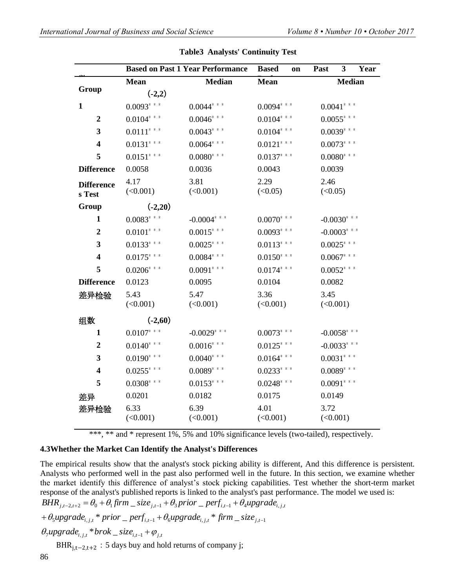|                             |                  | <b>Based on Past 1 Year Performance</b> | <b>Based</b><br>on | 3<br>Year<br>Past |
|-----------------------------|------------------|-----------------------------------------|--------------------|-------------------|
|                             | Mean             | <b>Median</b>                           | <b>Mean</b>        | <b>Median</b>     |
| Group                       | $(-2,2)$         |                                         |                    |                   |
| $\mathbf{1}$                | $0.0093$ ***     | $0.0044$ * * *                          | $0.0094$ ***       | $0.0041$ ***      |
| $\overline{2}$              | $0.0104$ ***     | $0.0046$ * * *                          | $0.0104$ * * *     | $0.0055$ * * *    |
| 3                           | $0.0111$ ***     | $0.0043$ ***                            | $0.0104$ ***       | $0.0039$ ***      |
| $\overline{\mathbf{4}}$     | $0.0131$ ***     | $0.0064$ * * *                          | $0.0121$ ***       | $0.0073$ ***      |
| 5                           | $0.0151$ ***     | $0.0080$ * * *                          | $0.0137$ ***       | $0.0080$ ***      |
| <b>Difference</b>           | 0.0058           | 0.0036                                  | 0.0043             | 0.0039            |
| <b>Difference</b><br>s Test | 4.17<br>(<0.001) | 3.81<br>(<0.001)                        | 2.29<br>(<0.05)    | 2.46<br>(<0.05)   |
| Group                       | $(-2,20)$        |                                         |                    |                   |
| $\mathbf{1}$                | $0.0083$ ***     | $-0.0004$ * * *                         | $0.0070$ * * *     | $-0.0030$ * * *   |
| $\boldsymbol{2}$            | $0.0101$ ***     | $0.0015$ * * *                          | $0.0093$ ***       | $-0.0003$ * * *   |
| 3                           | $0.0133$ ***     | $0.0025$ * * *                          | $0.0113***$        | $0.0025$ * * *    |
| $\overline{\mathbf{4}}$     | $0.0175$ ***     | $0.0084$ ***                            | $0.0150$ ***       | $0.0067$ ***      |
| 5                           | $0.0206$ * * *   | $0.0091$ ***                            | $0.0174$ ***       | $0.0052$ ***      |
| <b>Difference</b>           | 0.0123           | 0.0095                                  | 0.0104             | 0.0082            |
| 差异检验                        | 5.43<br>(<0.001) | 5.47<br>(<0.001)                        | 3.36<br>(<0.001)   | 3.45<br>(<0.001)  |
| 组数                          | $(-2,60)$        |                                         |                    |                   |
| $\mathbf{1}$                | $0.0107$ ***     | $-0.0029$ ***                           | $0.0073$ ***       | $-0.0058$ ***     |
| $\boldsymbol{2}$            | $0.0140$ * * *   | $0.0016$ * * *                          | $0.0125$ ***       | $-0.0033$ ***     |
| 3                           | $0.0190$ * * *   | $0.0040$ * * *                          | $0.0164$ * * *     | $0.0031$ ***      |
| $\overline{\mathbf{4}}$     | $0.0255$ * * *   | $0.0089$ ***                            | $0.0233$ ***       | $0.0089$ ***      |
| 5                           | $0.0308$ ***     | $0.0153$ * * *                          | $0.0248$ ***       | $0.0091$ ***      |
| 差异                          | 0.0201           | 0.0182                                  | 0.0175             | 0.0149            |
| 差异检验                        | 6.33<br>(<0.001) | 6.39<br>(<0.001)                        | 4.01<br>(<0.001)   | 3.72<br>(<0.001)  |

#### **Table3 Analysts' Continuity Test**

\*\*\*, \*\* and \* represent 1%, 5% and 10% significance levels (two-tailed), respectively.

## **4.3Whether the Market Can Identify the Analyst's Differences**

The empirical results show that the analyst's stock picking ability is different, And this difference is persistent. Analysts who performed well in the past also performed well in the future. In this section, we examine whether the market identify this difference of analyst's stock picking capabilities. Test whether the short-term market response of the analyst's published reports is linked to the analyst's past performance. The model we used is:

$$
BHR_{j,t-2,t+2} = \theta_0 + \theta_1 \text{firm} - size_{j,t-1} + \theta_3 \text{prior} - \text{perf}_{i,t-1} + \theta_4 \text{upgrade}_{i,j,t}
$$

$$
+\theta_{5} \mu \rho \rho \rho \rho \frac{d e_{i,j,t}}{dt} \cdot \frac{1}{2} \rho \frac{d e_{i,j,t}}{dt} + \theta_{6} \mu \rho \rho \rho \frac{d e_{i,j,t}}{dt} \cdot \frac{d e_{i,j,t}}{dt} = \frac{d e_{i,j,t}}{dt}
$$

$$
\theta_{\tau}
$$
upgrade<sub>i,j,t</sub> \* *brok* \_*size*<sub>i,t-1</sub> +  $\varphi_{j,t}$ 

BHR<sub>i,t−2,t+2</sub>:5 days buy and hold returns of company j;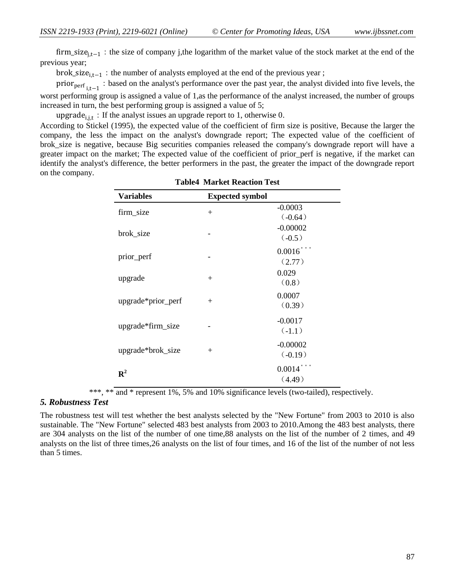firm\_size<sub>i,t−1</sub>: the size of company j,the logarithm of the market value of the stock market at the end of the previous year;

brok\_size<sub>i.t−1</sub>: the number of analysts employed at the end of the previous year ;

prior<sub>perf<sub>i,t−1</sub> : based on the analyst's performance over the past year, the analyst divided into five levels, the</sub> worst performing group is assigned a value of 1,as the performance of the analyst increased, the number of groups increased in turn, the best performing group is assigned a value of 5;

upgrade<sub>i,it</sub>: If the analyst issues an upgrade report to 1, otherwise 0.

According to Stickel (1995), the expected value of the coefficient of firm size is positive, Because the larger the company, the less the impact on the analyst's downgrade report; The expected value of the coefficient of brok size is negative, because Big securities companies released the company's downgrade report will have a greater impact on the market; The expected value of the coefficient of prior\_perf is negative, if the market can identify the analyst's difference, the better performers in the past, the greater the impact of the downgrade report on the company.

| <b>Variables</b>   | <b>Expected symbol</b> |                                 |
|--------------------|------------------------|---------------------------------|
| firm_size          | $^{+}$                 | $-0.0003$<br>(.0.64)            |
| brok_size          |                        | $-0.00002$<br>$(-0.5)$          |
| prior_perf         |                        | $0.0016$ <sup>*</sup><br>(2.77) |
| upgrade            | $+$                    | 0.029<br>(0.8)                  |
| upgrade*prior_perf | $+$                    | 0.0007<br>(0.39)                |
| upgrade*firm_size  |                        | $-0.0017$<br>$(-1.1)$           |
| upgrade*brok_size  | $+$                    | $-0.00002$<br>(.0.19)           |
| ${\bf R}^2$        |                        | 0.0014<br>(4.49)                |

**Table4 Market Reaction Test**

\*\*\*, \*\* and \* represent 1%, 5% and 10% significance levels (two-tailed), respectively.

#### *5. Robustness Test*

The robustness test will test whether the best analysts selected by the "New Fortune" from 2003 to 2010 is also sustainable. The "New Fortune" selected 483 best analysts from 2003 to 2010.Among the 483 best analysts, there are 304 analysts on the list of the number of one time,88 analysts on the list of the number of 2 times, and 49 analysts on the list of three times,26 analysts on the list of four times, and 16 of the list of the number of not less than 5 times.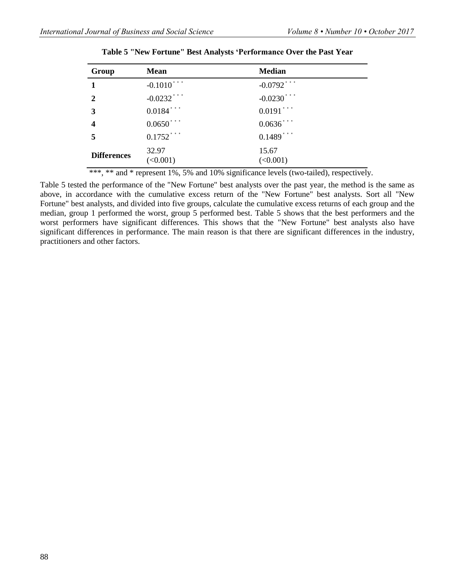| Group              | <b>Mean</b>       | <b>Median</b>     |
|--------------------|-------------------|-------------------|
| $\mathbf{1}$       | $-0.1010$ ***     | $-0.0792$ ***     |
| $\mathbf{2}$       | $-0.0232$ ***     | $-0.0230$ ***     |
| 3                  | $0.0184$ ***      | $0.0191$ ***      |
| 4                  | $0.0650$ ***      | $0.0636$ ***      |
| 5                  | $0.1752$ ***      | $0.1489$ ***      |
| <b>Differences</b> | 32.97<br>(<0.001) | 15.67<br>(<0.001) |

|  |  | Table 5 "New Fortune" Best Analysts 'Performance Over the Past Year |  |  |
|--|--|---------------------------------------------------------------------|--|--|
|  |  |                                                                     |  |  |

\*\*\*, \*\* and \* represent 1%, 5% and 10% significance levels (two-tailed), respectively.

Table 5 tested the performance of the "New Fortune" best analysts over the past year, the method is the same as above, in accordance with the cumulative excess return of the "New Fortune" best analysts. Sort all "New Fortune" best analysts, and divided into five groups, calculate the cumulative excess returns of each group and the median, group 1 performed the worst, group 5 performed best. Table 5 shows that the best performers and the worst performers have significant differences. This shows that the "New Fortune" best analysts also have significant differences in performance. The main reason is that there are significant differences in the industry, practitioners and other factors.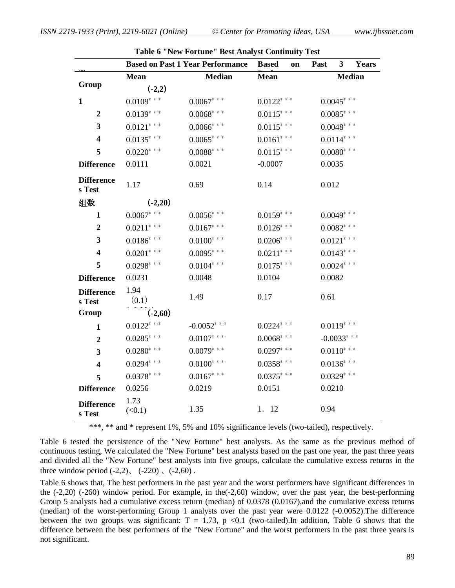|                             |                | <b>Based on Past 1 Year Performance</b> | <b>Based</b><br>on | $\overline{\mathbf{3}}$<br>Past<br>Years |
|-----------------------------|----------------|-----------------------------------------|--------------------|------------------------------------------|
|                             | <b>Mean</b>    | <b>Median</b>                           | <b>Mean</b>        | <b>Median</b>                            |
| Group                       | $(-2,2)$       |                                         |                    |                                          |
| $\mathbf{1}$                | $0.0109$ * * * | $0.0067$ ***                            | $0.0122$ ***       | $0.0045$ * * *                           |
| $\boldsymbol{2}$            | $0.0139$ ***   | $0.0068$ ***                            | $0.0115***$        | $0.0085$ ***                             |
| 3                           | $0.0121$ ***   | $0.0066$ * * *                          | $0.0115***$        | $0.0048$ ***                             |
| $\overline{\mathbf{4}}$     | $0.0135***$    | $0.0065$ * * *                          | $0.0161$ ***       | $0.0114$ ***                             |
| 5                           | $0.0220$ * * * | $0.0088$ ***                            | $0.0115***$        | $0.0080$ ***                             |
| <b>Difference</b>           | 0.0111         | 0.0021                                  | $-0.0007$          | 0.0035                                   |
| <b>Difference</b><br>s Test | 1.17           | 0.69                                    | 0.14               | 0.012                                    |
| 组数                          | $(-2,20)$      |                                         |                    |                                          |
| $\mathbf{1}$                | $0.0067$ ***   | $0.0056$ * * *                          | $0.0159$ * * *     | $0.0049$ * * *                           |
| $\overline{2}$              | $0.0211$ ***   | $0.0167$ ***                            | $0.0126$ ***       | $0.0082$ ***                             |
| 3                           | $0.0186$ ***   | $0.0100$ * * *                          | $0.0206$ * * *     | $0.0121$ ***                             |
| $\overline{\mathbf{4}}$     | $0.0201$ ***   | $0.0095$ * * *                          | $0.0211$ ***       | $0.0143$ ***                             |
| 5                           | $0.0298$ * * * | $0.0104$ * * *                          | $0.0175***$        | $0.0024$ * * *                           |
| <b>Difference</b>           | 0.0231         | 0.0048                                  | 0.0104             | 0.0082                                   |
| <b>Difference</b><br>s Test | 1.94<br>(0.1)  | 1.49                                    | 0.17               | 0.61                                     |
| Group                       | $(-2,60)$      |                                         |                    |                                          |
| $\mathbf{1}$                | $0.0122$ ***   | $-0.0052$ ***                           | $0.0224$ ***       | $0.0119$ ***                             |
| $\overline{2}$              | $0.0285$ ***   | $0.0107$ ***                            | $0.0068$ ***       | $-0.0033$ ***                            |
| $\overline{\mathbf{3}}$     | $0.0280$ ***   | $0.0079$ ***                            | $0.0297$ ***       | $0.0110$ ***                             |
| $\overline{\mathbf{4}}$     | $0.0294$ ***   | $0.0100$ * * *                          | $0.0358$ ***       | $0.0136$ ***                             |
| 5                           | $0.0378$ ***   | $0.0167$ ***                            | $0.0375$ ***       | $0.0329$ ***                             |
| <b>Difference</b>           | 0.0256         | 0.0219                                  | 0.0151             | 0.0210                                   |
| <b>Difference</b><br>s Test | 1.73<br>(<0.1) | 1.35                                    | 1. 12              | 0.94                                     |

**Table 6 "New Fortune" Best Analyst Continuity Test**

\*\*\*, \*\* and \* represent 1%, 5% and 10% significance levels (two-tailed), respectively.

Table 6 tested the persistence of the "New Fortune" best analysts. As the same as the previous method of continuous testing, We calculated the "New Fortune" best analysts based on the past one year, the past three years and divided all the "New Fortune" best analysts into five groups, calculate the cumulative excess returns in the three window period  $(-2,2)$ ,  $(-220)$ ,  $(-2,60)$ .

Table 6 shows that, The best performers in the past year and the worst performers have significant differences in the (-2,20) (-260) window period. For example, in the(-2,60) window, over the past year, the best-performing Group 5 analysts had a cumulative excess return (median) of 0.0378 (0.0167),and the cumulative excess returns (median) of the worst-performing Group 1 analysts over the past year were 0.0122 (-0.0052).The difference between the two groups was significant:  $T = 1.73$ , p <0.1 (two-tailed). In addition, Table 6 shows that the difference between the best performers of the "New Fortune" and the worst performers in the past three years is not significant.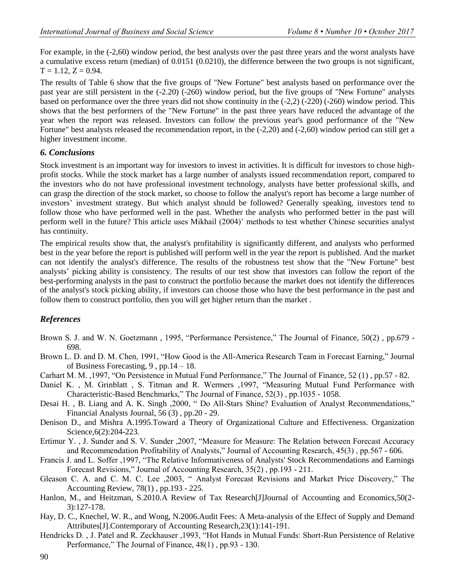For example, in the  $(-2,60)$  window period, the best analysts over the past three years and the worst analysts have a cumulative excess return (median) of 0.0151 (0.0210), the difference between the two groups is not significant,  $T = 1.12$ ,  $Z = 0.94$ .

The results of Table 6 show that the five groups of "New Fortune" best analysts based on performance over the past year are still persistent in the (-2.20) (-260) window period, but the five groups of "New Fortune" analysts based on performance over the three years did not show continuity in the (-2,2) (-220) (-260) window period. This shows that the best performers of the "New Fortune" in the past three years have reduced the advantage of the year when the report was released. Investors can follow the previous year's good performance of the "New Fortune" best analysts released the recommendation report, in the (-2,20) and (-2,60) window period can still get a higher investment income.

### *6. Conclusions*

Stock investment is an important way for investors to invest in activities. It is difficult for investors to chose highprofit stocks. While the stock market has a large number of analysts issued recommendation report, compared to the investors who do not have professional investment technology, analysts have better professional skills, and can grasp the direction of the stock market, so choose to follow the analyst's report has become a large number of investors' investment strategy. But which analyst should be followed? Generally speaking, investors tend to follow those who have performed well in the past. Whether the analysts who performed better in the past will perform well in the future? This article uses Mikhail (2004)' methods to test whether Chinese securities analyst has continuity.

The empirical results show that, the analyst's profitability is significantly different, and analysts who performed best in the year before the report is published will perform well in the year the report is published. And the market can not identify the analyst's difference. The results of the robustness test show that the "New Fortune" best analysts' picking ability is consistency. The results of our test show that investors can follow the report of the best-performing analysts in the past to construct the portfolio because the market does not identify the differences of the analyst's stock picking ability, if investors can choose those who have the best performance in the past and follow them to construct portfolio, then you will get higher return than the market .

# *References*

- Brown S. J. and W. N. Goetzmann , 1995, "Performance Persistence," The Journal of Finance, 50(2) , pp.679 698.
- Brown L. D. and D. M. Chen, 1991, "How Good is the All-America Research Team in Forecast Earning," Journal of Business Forecasting, 9 , pp.14 – 18.
- Carhart M. M. ,1997, "On Persistence in Mutual Fund Performance," The Journal of Finance, 52 (1) , pp.57 82.
- Daniel K. , M. Grinblatt , S. Titman and R. Wermers ,1997, "Measuring Mutual Fund Performance with Characteristic-Based Benchmarks," The Journal of Finance, 52(3) , pp.1035 - 1058.
- Desai H. , B. Liang and A. K. Singh ,2000, " Do All-Stars Shine? Evaluation of Analyst Recommendations," Financial Analysts Journal, 56 (3) , pp.20 - 29.
- Denison D., and Mishra A.1995.Toward a Theory of Organizational Culture and Effectiveness. Organization Science,6(2):204-223.
- Ertimur Y. , J. Sunder and S. V. Sunder ,2007, "Measure for Measure: The Relation between Forecast Accuracy and Recommendation Profitability of Analysts," Journal of Accounting Research, 45(3) , pp.567 - 606.
- Francis J. and L. Soffer ,1997, "The Relative Informativeness of Analysts' Stock Recommendations and Earnings Forecast Revisions," Journal of Accounting Research, 35(2) , pp.193 - 211.
- Gleason C. A. and C. M. C. Lee ,2003, " Analyst Forecast Revisions and Market Price Discovery," The Accounting Review, 78(1) , pp.193 - 225.
- Hanlon, M., and Heitzman, S.2010.A Review of Tax Research[J]Journal of Accounting and Economics,50(2- 3):127-178.
- Hay, D. C., Knechel, W. R., and Wong, N.2006.Audit Fees: A Meta-analysis of the Effect of Supply and Demand Attributes[J].Contemporary of Accounting Research,23(1):141-191.
- Hendricks D. , J. Patel and R. Zeckhauser ,1993, "Hot Hands in Mutual Funds: Short-Run Persistence of Relative Performance," The Journal of Finance,  $48(1)$ , pp.93 - 130.